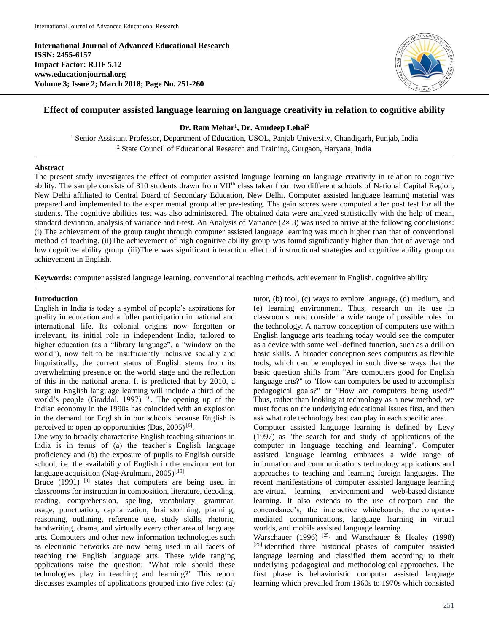**International Journal of Advanced Educational Research ISSN: 2455-6157 Impact Factor: RJIF 5.12 www.educationjournal.org Volume 3; Issue 2; March 2018; Page No. 251-260**



# **Effect of computer assisted language learning on language creativity in relation to cognitive ability**

**Dr. Ram Mehar<sup>1</sup> , Dr. Anudeep Lehal<sup>2</sup>**

<sup>1</sup> Senior Assistant Professor, Department of Education, USOL, Panjab University, Chandigarh, Punjab, India <sup>2</sup> State Council of Educational Research and Training, Gurgaon, Haryana, India

# **Abstract**

The present study investigates the effect of computer assisted language learning on language creativity in relation to cognitive ability. The sample consists of 310 students drawn from VII<sup>th</sup> class taken from two different schools of National Capital Region, New Delhi affiliated to Central Board of Secondary Education, New Delhi. Computer assisted language learning material was prepared and implemented to the experimental group after pre-testing. The gain scores were computed after post test for all the students. The cognitive abilities test was also administered. The obtained data were analyzed statistically with the help of mean, standard deviation, analysis of variance and t-test. An Analysis of Variance (2**×** 3) was used to arrive at the following conclusions: (i) The achievement of the group taught through computer assisted language learning was much higher than that of conventional method of teaching. (ii)The achievement of high cognitive ability group was found significantly higher than that of average and low cognitive ability group. (iii)There was significant interaction effect of instructional strategies and cognitive ability group on achievement in English.

**Keywords:** computer assisted language learning, conventional teaching methods, achievement in English, cognitive ability

#### **Introduction**

English in India is today a symbol of people's aspirations for quality in education and a fuller participation in national and international life. Its colonial origins now forgotten or irrelevant, its initial role in independent India, tailored to higher education (as a "library language", a "window on the world"), now felt to be insufficiently inclusive socially and linguistically, the current status of English stems from its overwhelming presence on the world stage and the reflection of this in the national arena. It is predicted that by 2010, a surge in English language learning will include a third of the world's people (Graddol, 1997)<sup>[9]</sup>. The opening up of the Indian economy in the 1990s has coincided with an explosion in the demand for English in our schools because English is perceived to open up opportunities  $(Das, 2005)^{[6]}$ .

One way to broadly characterise English teaching situations in India is in terms of (a) the teacher's English language proficiency and (b) the exposure of pupils to English outside school, i.e. the availability of English in the environment for language acquisition (Nag-Arulmani, 2005)<sup>[19]</sup>.

Bruce  $(1991)$  <sup>[3]</sup> states that computers are being used in classrooms for instruction in composition, literature, decoding, reading, comprehension, spelling, vocabulary, grammar, usage, punctuation, capitalization, brainstorming, planning, reasoning, outlining, reference use, study skills, rhetoric, handwriting, drama, and virtually every other area of language arts. Computers and other new information technologies such as electronic networks are now being used in all facets of teaching the English language arts. These wide ranging applications raise the question: "What role should these technologies play in teaching and learning?" This report discusses examples of applications grouped into five roles: (a) tutor, (b) tool, (c) ways to explore language, (d) medium, and (e) learning environment. Thus, research on its use in classrooms must consider a wide range of possible roles for the technology. A narrow conception of computers use within English language arts teaching today would see the computer as a device with some well-defined function, such as a drill on basic skills. A broader conception sees computers as flexible tools, which can be employed in such diverse ways that the basic question shifts from "Are computers good for English language arts?" to "How can computers be used to accomplish pedagogical goals?" or "How are computers being used?" Thus, rather than looking at technology as a new method, we must focus on the underlying educational issues first, and then ask what role technology best can play in each specific area. Computer assisted language learning is defined by Levy (1997) as "the search for and study of applications of the computer in language teaching and learning". Computer assisted language learning embraces a wide range of information and communications technology applications and approaches to teaching and learning foreign languages. The recent manifestations of computer assisted language learning are virtual learning environment and web-based distance learning. It also extends to the use of corpora and the concordance's, the interactive whiteboards, the computer-

worlds, and mobile assisted language learning. Warschauer (1996)<sup>[25]</sup> and Warschauer & Healey (1998) [26] identified three historical phases of computer assisted language learning and classified them according to their underlying pedagogical and methodological approaches. The first phase is behavioristic computer assisted language learning which prevailed from 1960s to 1970s which consisted

mediated communications, language learning in virtual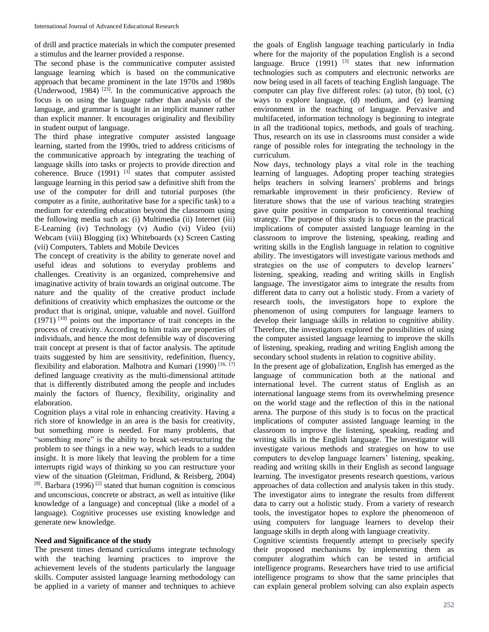of drill and practice materials in which the computer presented a stimulus and the learner provided a response.

The second phase is the communicative computer assisted language learning which is based on the communicative approach that became prominent in the late 1970s and 1980s (Underwood, 1984)<sup>[23]</sup>. In the communicative approach the focus is on using the language rather than analysis of the language, and grammar is taught in an implicit manner rather than explicit manner. It encourages originality and flexibility in student output of language.

The third phase integrative computer assisted language learning, started from the 1990s, tried to address criticisms of the communicative approach by integrating the teaching of language skills into tasks or projects to provide direction and coherence. Bruce  $(1991)$  <sup>[3]</sup> states that computer assisted language learning in this period saw a definitive shift from the use of the computer for drill and tutorial purposes (the computer as a finite, authoritative base for a specific task) to a medium for extending education beyond the classroom using the following media such as: (i) Multimedia (ii) Internet (iii) E-Learning (iv) Technology (v) Audio (vi) Video (vii) Webcam (viii) Blogging (ix) Whiteboards (x) Screen Casting (vii) Computers, Tablets and Mobile Devices

The concept of creativity is the ability to generate novel and useful ideas and solutions to everyday problems and challenges. Creativity is an organized, comprehensive and imaginative activity of brain towards an original outcome. The nature and the quality of the creative product include definitions of creativity which emphasizes the outcome or the product that is original, unique, valuable and novel. Guilford  $(1971)$ <sup>[10]</sup> points out the importance of trait concepts in the process of creativity. According to him traits are properties of individuals, and hence the most defensible way of discovering trait concept at present is that of factor analysis. The aptitude traits suggested by him are sensitivity, redefinition, fluency, flexibility and elaboration. Malhotra and Kumari (1990)<sup>[16, 17]</sup> defined language creativity as the multi-dimensional attitude that is differently distributed among the people and includes mainly the factors of fluency, flexibility, originality and elaboration.

Cognition plays a vital role in enhancing creativity. Having a rich store of knowledge in an area is the basis for creativity, but something more is needed. For many problems, that "something more" is the ability to break set-restructuring the problem to see things in a new way, which leads to a sudden insight. It is more likely that leaving the problem for a time interrupts rigid ways of thinking so you can restructure your view of the situation (Gleitman, Fridlund, & Reisberg, 2004)  $^{[8]}$ . Barbara (1996)<sup>[2]</sup> stated that human cognition is conscious and unconscious, concrete or abstract, as well as intuitive (like knowledge of a language) and conceptual (like a model of a language). Cognitive processes use existing knowledge and generate new knowledge.

# **Need and Significance of the study**

The present times demand curriculums integrate technology with the teaching learning practices to improve the achievement levels of the students particularly the language skills. Computer assisted language learning methodology can be applied in a variety of manner and techniques to achieve

the goals of English language teaching particularly in India where for the majority of the population English is a second language. Bruce  $(1991)$  <sup>[3]</sup> states that new information technologies such as computers and electronic networks are now being used in all facets of teaching English language. The computer can play five different roles: (a) tutor, (b) tool, (c) ways to explore language, (d) medium, and (e) learning environment in the teaching of language. Pervasive and multifaceted, information technology is beginning to integrate in all the traditional topics, methods, and goals of teaching. Thus, research on its use in classrooms must consider a wide range of possible roles for integrating the technology in the curriculum.

Now days, technology plays a vital role in the teaching learning of languages. Adopting proper teaching strategies helps teachers in solving learners' problems and brings remarkable improvement in their proficiency. Review of literature shows that the use of various teaching strategies gave quite positive in comparison to conventional teaching strategy. The purpose of this study is to focus on the practical implications of computer assisted language learning in the classroom to improve the listening, speaking, reading and writing skills in the English language in relation to cognitive ability. The investigators will investigate various methods and strategies on the use of computers to develop learners' listening, speaking, reading and writing skills in English language. The investigator aims to integrate the results from different data to carry out a holistic study. From a variety of research tools, the investigators hope to explore the phenomenon of using computers for language learners to develop their language skills in relation to cognitive ability. Therefore, the investigators explored the possibilities of using the computer assisted language learning to improve the skills of listening, speaking, reading and writing English among the secondary school students in relation to cognitive ability.

In the present age of globalization, English has emerged as the language of communication both at the national and international level. The current status of English as an international language stems from its overwhelming presence on the world stage and the reflection of this in the national arena. The purpose of this study is to focus on the practical implications of computer assisted language learning in the classroom to improve the listening, speaking, reading and writing skills in the English language. The investigator will investigate various methods and strategies on how to use computers to develop language learners' listening, speaking, reading and writing skills in their English as second language learning. The investigator presents research questions, various approaches of data collection and analysis taken in this study. The investigator aims to integrate the results from different data to carry out a holistic study. From a variety of research tools, the investigator hopes to explore the phenomenon of using computers for language learners to develop their language skills in depth along with language creativity.

Cognitive scientists frequently attempt to precisely specify their proposed mechanisms by implementing them as computer alograthim which can be tested in artificial intelligence programs. Researchers have tried to use artificial intelligence programs to show that the same principles that can explain general problem solving can also explain aspects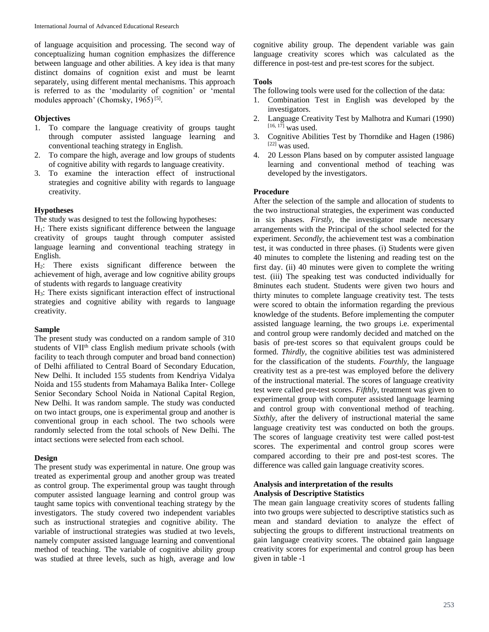of language acquisition and processing. The second way of conceptualizing human cognition emphasizes the difference between language and other abilities. A key idea is that many distinct domains of cognition exist and must be learnt separately, using different mental mechanisms. This approach is referred to as the 'modularity of cognition' or 'mental modules approach' (Chomsky, 1965)<sup>[5]</sup>.

# **Objectives**

- 1. To compare the language creativity of groups taught through computer assisted language learning and conventional teaching strategy in English.
- 2. To compare the high, average and low groups of students of cognitive ability with regards to language creativity.
- 3. To examine the interaction effect of instructional strategies and cognitive ability with regards to language creativity.

# **Hypotheses**

The study was designed to test the following hypotheses:

 $H<sub>1</sub>$ : There exists significant difference between the language creativity of groups taught through computer assisted language learning and conventional teaching strategy in English.

 $H<sub>2</sub>$ : There exists significant difference between the achievement of high, average and low cognitive ability groups of students with regards to language creativity

H3: There exists significant interaction effect of instructional strategies and cognitive ability with regards to language creativity.

#### **Sample**

The present study was conducted on a random sample of 310 students of VII<sup>th</sup> class English medium private schools (with facility to teach through computer and broad band connection) of Delhi affiliated to Central Board of Secondary Education, New Delhi. It included 155 students from Kendriya Vidalya Noida and 155 students from Mahamaya Balika Inter- College Senior Secondary School Noida in National Capital Region, New Delhi. It was random sample. The study was conducted on two intact groups, one is experimental group and another is conventional group in each school. The two schools were randomly selected from the total schools of New Delhi. The intact sections were selected from each school.

# **Design**

The present study was experimental in nature. One group was treated as experimental group and another group was treated as control group. The experimental group was taught through computer assisted language learning and control group was taught same topics with conventional teaching strategy by the investigators. The study covered two independent variables such as instructional strategies and cognitive ability. The variable of instructional strategies was studied at two levels, namely computer assisted language learning and conventional method of teaching. The variable of cognitive ability group was studied at three levels, such as high, average and low

cognitive ability group. The dependent variable was gain language creativity scores which was calculated as the difference in post-test and pre-test scores for the subject.

### **Tools**

The following tools were used for the collection of the data:

- 1. Combination Test in English was developed by the investigators.
- 2. Language Creativity Test by Malhotra and Kumari (1990) [16, 17] was used.
- 3. Cognitive Abilities Test by Thorndike and Hagen (1986)  $[22]$  was used.
- 4. 20 Lesson Plans based on by computer assisted language learning and conventional method of teaching was developed by the investigators.

# **Procedure**

After the selection of the sample and allocation of students to the two instructional strategies, the experiment was conducted in six phases. *Firstly,* the investigator made necessary arrangements with the Principal of the school selected for the experiment. *Secondly*, the achievement test was a combination test, it was conducted in three phases. (i) Students were given 40 minutes to complete the listening and reading test on the first day. (ii) 40 minutes were given to complete the writing test. (iii) The speaking test was conducted individually for 8minutes each student. Students were given two hours and thirty minutes to complete language creativity test. The tests were scored to obtain the information regarding the previous knowledge of the students. Before implementing the computer assisted language learning, the two groups i.e. experimental and control group were randomly decided and matched on the basis of pre-test scores so that equivalent groups could be formed. *Thirdly*, the cognitive abilities test was administered for the classification of the students. *Fourthly*, the language creativity test as a pre-test was employed before the delivery of the instructional material. The scores of language creativity test were called pre-test scores. *Fifthly*, treatment was given to experimental group with computer assisted language learning and control group with conventional method of teaching. *Sixthly,* after the delivery of instructional material the same language creativity test was conducted on both the groups. The scores of language creativity test were called post-test scores. The experimental and control group scores were compared according to their pre and post-test scores. The difference was called gain language creativity scores.

#### **Analysis and interpretation of the results Analysis of Descriptive Statistics**

The mean gain language creativity scores of students falling into two groups were subjected to descriptive statistics such as mean and standard deviation to analyze the effect of subjecting the groups to different instructional treatments on gain language creativity scores. The obtained gain language creativity scores for experimental and control group has been given in table -1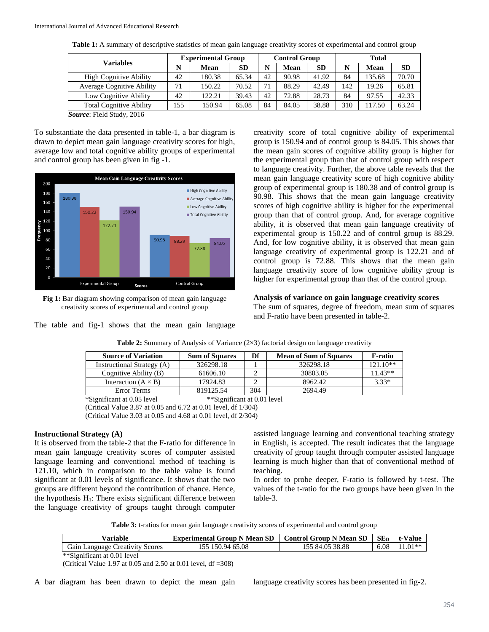| <b>Variables</b>                 | <b>Experimental Group</b> |        | <b>Control Group</b> |    |             | Total     |     |             |       |
|----------------------------------|---------------------------|--------|----------------------|----|-------------|-----------|-----|-------------|-------|
|                                  |                           | Mean   | <b>SD</b>            | N  | <b>Mean</b> | <b>SD</b> |     | <b>Mean</b> | SD    |
| <b>High Cognitive Ability</b>    | 42                        | 180.38 | 65.34                | 42 | 90.98       | 41.92     | 84  | 135.68      | 70.70 |
| <b>Average Cognitive Ability</b> | 71                        | 150.22 | 70.52                | 71 | 88.29       | 42.49     | 142 | 19.26       | 65.81 |
| Low Cognitive Ability            | 42                        | 122.21 | 39.43                | 42 | 72.88       | 28.73     | 84  | 97.55       | 42.33 |
| <b>Total Cognitive Ability</b>   | 155                       | 150.94 | 65.08                | 84 | 84.05       | 38.88     | 310 | 117.50      | 63.24 |
| $C = \Gamma 110.1 0017$          |                           |        |                      |    |             |           |     |             |       |

**Table 1:** A summary of descriptive statistics of mean gain language creativity scores of experimental and control group

*Source*: Field Study, 2016

To substantiate the data presented in table-1, a bar diagram is drawn to depict mean gain language creativity scores for high, average low and total cognitive ability groups of experimental and control group has been given in fig -1.



**Fig 1:** Bar diagram showing comparison of mean gain language creativity scores of experimental and control group

The table and fig-1 shows that the mean gain language

creativity score of total cognitive ability of experimental group is 150.94 and of control group is 84.05. This shows that the mean gain scores of cognitive ability group is higher for the experimental group than that of control group with respect to language creativity. Further, the above table reveals that the mean gain language creativity score of high cognitive ability group of experimental group is 180.38 and of control group is 90.98. This shows that the mean gain language creativity scores of high cognitive ability is higher for the experimental group than that of control group. And, for average cognitive ability, it is observed that mean gain language creativity of experimental group is 150.22 and of control group is 88.29. And, for low cognitive ability, it is observed that mean gain language creativity of experimental group is 122.21 and of control group is 72.88. This shows that the mean gain language creativity score of low cognitive ability group is higher for experimental group than that of the control group.

#### **Analysis of variance on gain language creativity scores**

The sum of squares, degree of freedom, mean sum of squares and F-ratio have been presented in table-2.

| <b>Source of Variation</b> | <b>Sum of Squares</b> | Df  | <b>Mean of Sum of Squares</b> | F-ratio    |
|----------------------------|-----------------------|-----|-------------------------------|------------|
| Instructional Strategy (A) | 326298.18             |     | 326298.18                     | $121.10**$ |
| Cognitive Ability (B)      | 61606.10              |     | 30803.05                      | $11.43**$  |
| Interaction $(A \times B)$ | 17924.83              |     | 8962.42                       | $3.33*$    |
| Error Terms                | 819125.54             | 304 | 2694.49                       |            |

**Table 2:** Summary of Analysis of Variance (2×3) factorial design on language creativity

\*Significant at 0.05 level \*\*Significant at 0.01 level (Critical Value 3.87 at 0.05 and 6.72 at 0.01 level, df 1/304) (Critical Value 3.03 at 0.05 and 4.68 at 0.01 level, df 2/304)

#### **Instructional Strategy (A)**

It is observed from the table-2 that the F-ratio for difference in mean gain language creativity scores of computer assisted language learning and conventional method of teaching is 121.10, which in comparison to the table value is found significant at 0.01 levels of significance. It shows that the two groups are different beyond the contribution of chance. Hence, the hypothesis  $H_1$ : There exists significant difference between the language creativity of groups taught through computer

assisted language learning and conventional teaching strategy in English, is accepted. The result indicates that the language creativity of group taught through computer assisted language learning is much higher than that of conventional method of teaching.

In order to probe deeper, F-ratio is followed by t-test. The values of the t-ratio for the two groups have been given in the table-3.

**Table 3:** t-ratios for mean gain language creativity scores of experimental and control group

| Variable                               | <b>Experimental Group N Mean SD</b> | $\mid$ Control Group N Mean SD $\mid$ SE <sub>D</sub> |      | t-Value   |
|----------------------------------------|-------------------------------------|-------------------------------------------------------|------|-----------|
| <b>Gain Language Creativity Scores</b> | 155 150.94 65.08                    | 155 84.05 38.88                                       | 6.08 | $11.01**$ |

\*\*Significant at 0.01 level

(Critical Value 1.97 at 0.05 and 2.50 at 0.01 level, df =308)

A bar diagram has been drawn to depict the mean gain language creativity scores has been presented in fig-2.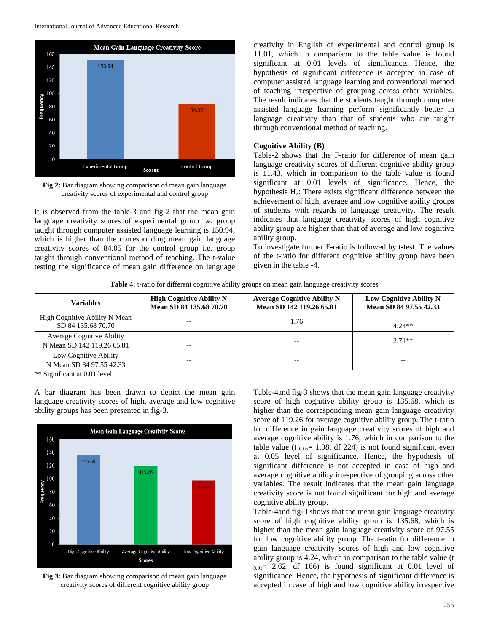

**Fig 2:** Bar diagram showing comparison of mean gain language creativity scores of experimental and control group

It is observed from the table-3 and fig-2 that the mean gain language creativity scores of experimental group i.e. group taught through computer assisted language learning is 150.94, which is higher than the corresponding mean gain language creativity scores of 84.05 for the control group i.e. group taught through conventional method of teaching. The t-value testing the significance of mean gain difference on language creativity in English of experimental and control group is 11.01, which in comparison to the table value is found significant at 0.01 levels of significance. Hence, the hypothesis of significant difference is accepted in case of computer assisted language learning and conventional method of teaching irrespective of grouping across other variables. The result indicates that the students taught through computer assisted language learning perform significantly better in language creativity than that of students who are taught through conventional method of teaching.

#### **Cognitive Ability (B)**

Table-2 shows that the F-ratio for difference of mean gain language creativity scores of different cognitive ability group is 11.43, which in comparison to the table value is found significant at 0.01 levels of significance. Hence, the hypothesis  $H_2$ : There exists significant difference between the achievement of high, average and low cognitive ability groups of students with regards to language creativity. The result indicates that language creativity scores of high cognitive ability group are higher than that of average and low cognitive ability group.

To investigate further F-ratio is followed by t-test. The values of the t-ratio for different cognitive ability group have been given in the table -4.

**Table 4:** t-ratio for different cognitive ability groups on mean gain language creativity scores

| <b>Variables</b>                                               | <b>High Cognitive Ability N</b><br>Mean SD 84 135.68 70.70 | <b>Average Cognitive Ability N</b><br>Mean SD 142 119.26 65.81 | Low Cognitive Ability N<br>Mean SD 84 97.55 42.33 |
|----------------------------------------------------------------|------------------------------------------------------------|----------------------------------------------------------------|---------------------------------------------------|
| High Cognitive Ability N Mean<br>SD 84 135.68 70.70            | --                                                         | 1.76                                                           | $4.24**$                                          |
| <b>Average Cognitive Ability</b><br>N Mean SD 142 119.26 65.81 | $- -$                                                      |                                                                | $2.71**$                                          |
| Low Cognitive Ability<br>N Mean SD 84 97.55 42.33              | --                                                         |                                                                | --                                                |

\*\* Significant at 0.01 level

A bar diagram has been drawn to depict the mean gain language creativity scores of high, average and low cognitive ability groups has been presented in fig-3.



**Fig 3:** Bar diagram showing comparison of mean gain language creativity scores of different cognitive ability group

Table-4and fig-3 shows that the mean gain language creativity score of high cognitive ability group is 135.68, which is higher than the corresponding mean gain language creativity score of 119.26 for average cognitive ability group. The t-ratio for difference in gain language creativity scores of high and average cognitive ability is 1.76, which in comparison to the table value (t  $_{0.05}$ = 1.98, df 224) is not found significant even at 0.05 level of significance. Hence, the hypothesis of significant difference is not accepted in case of high and average cognitive ability irrespective of grouping across other variables. The result indicates that the mean gain language creativity score is not found significant for high and average cognitive ability group.

Table-4and fig-3 shows that the mean gain language creativity score of high cognitive ability group is 135.68, which is higher than the mean gain language creativity score of 97.55 for low cognitive ability group. The t-ratio for difference in gain language creativity scores of high and low cognitive ability group is 4.24, which in comparison to the table value (t  $_{0.01}$  = 2.62, df 166) is found significant at 0.01 level of significance. Hence, the hypothesis of significant difference is accepted in case of high and low cognitive ability irrespective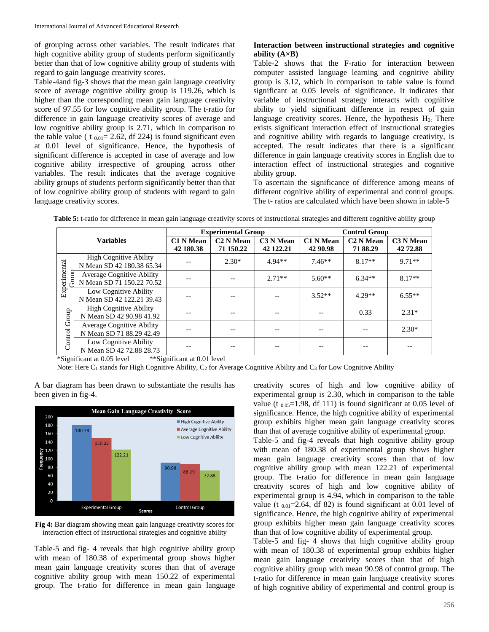of grouping across other variables. The result indicates that high cognitive ability group of students perform significantly better than that of low cognitive ability group of students with regard to gain language creativity scores.

Table-4and fig-3 shows that the mean gain language creativity score of average cognitive ability group is 119.26, which is higher than the corresponding mean gain language creativity score of 97.55 for low cognitive ability group. The t-ratio for difference in gain language creativity scores of average and low cognitive ability group is 2.71, which in comparison to the table value ( t  $_{0.01}$  = 2.62, df 224) is found significant even at 0.01 level of significance. Hence, the hypothesis of significant difference is accepted in case of average and low cognitive ability irrespective of grouping across other variables. The result indicates that the average cognitive ability groups of students perform significantly better than that of low cognitive ability group of students with regard to gain language creativity scores.

# **Interaction between instructional strategies and cognitive ability (A×B)**

Table-2 shows that the F-ratio for interaction between computer assisted language learning and cognitive ability group is 3.12, which in comparison to table value is found significant at 0.05 levels of significance. It indicates that variable of instructional strategy interacts with cognitive ability to yield significant difference in respect of gain language creativity scores. Hence, the hypothesis  $H<sub>3</sub>$ : There exists significant interaction effect of instructional strategies and cognitive ability with regards to language creativity, is accepted. The result indicates that there is a significant difference in gain language creativity scores in English due to interaction effect of instructional strategies and cognitive ability group.

To ascertain the significance of difference among means of different cognitive ability of experimental and control groups. The t- ratios are calculated which have been shown in table-5

| <b>Variables</b>     |                                                               |                               | <b>Experimental Group</b>          |                        | <b>Control Group</b>         |                                   |                       |
|----------------------|---------------------------------------------------------------|-------------------------------|------------------------------------|------------------------|------------------------------|-----------------------------------|-----------------------|
|                      |                                                               | <b>C1 N Mean</b><br>42 180.38 | C <sub>2</sub> N Mean<br>71 150.22 | C3 N Mean<br>42 122.21 | <b>C1 N Mean</b><br>42 90.98 | C <sub>2</sub> N Mean<br>71 88.29 | C3 N Mean<br>42 72.88 |
| Experimental<br>rour | <b>High Cognitive Ability</b><br>N Mean SD 42 180.38 65.34    |                               | $2.30*$                            | $4.94**$               | $7.46**$                     | $8.17**$                          | $9.71**$              |
|                      | <b>Average Cognitive Ability</b><br>N Mean SD 71 150.22 70.52 |                               |                                    | $2.71**$               | $5.60**$                     | $6.34**$                          | $8.17**$              |
|                      | Low Cognitive Ability<br>N Mean SD 42 122.21 39.43            |                               |                                    |                        | $3.52**$                     | $4.29**$                          | $6.55**$              |
| Control Group        | <b>High Cognitive Ability</b><br>N Mean SD 42 90.98 41.92     |                               |                                    |                        |                              | 0.33                              | $2.31*$               |
|                      | <b>Average Cognitive Ability</b><br>N Mean SD 71 88.29 42.49  |                               |                                    |                        | --                           |                                   | $2.30*$               |
|                      | Low Cognitive Ability<br>N Mean SD 42 72.88 28.73             |                               |                                    |                        |                              |                                   |                       |

Table 5: t-ratio for difference in mean gain language creativity scores of instructional strategies and different cognitive ability group

\*Significant at 0.05 level \*\*Significant at 0.01 level

Note: Here  $C_1$  stands for High Cognitive Ability,  $C_2$  for Average Cognitive Ability and  $C_3$  for Low Cognitive Ability

**Mean Gain Language Creativity Score** 200 High Cognitive Ability 180 Average Cognitive Ability 18038 160 Low Cognitive Ability  $140$ 150.22 120 122.21 100 80 60 72.88  $4<sub>C</sub>$  $2<sub>C</sub>$ **Experimental Group** Control Group Scores

A bar diagram has been drawn to substantiate the results has been given in fig-4.

**Fig 4:** Bar diagram showing mean gain language creativity scores for interaction effect of instructional strategies and cognitive ability

Table-5 and fig- 4 reveals that high cognitive ability group with mean of 180.38 of experimental group shows higher mean gain language creativity scores than that of average cognitive ability group with mean 150.22 of experimental group. The t-ratio for difference in mean gain language creativity scores of high and low cognitive ability of experimental group is 2.30, which in comparison to the table value (t  $_{0.05}$ =1.98, df 111) is found significant at 0.05 level of significance. Hence, the high cognitive ability of experimental group exhibits higher mean gain language creativity scores than that of average cognitive ability of experimental group.

Table-5 and fig-4 reveals that high cognitive ability group with mean of 180.38 of experimental group shows higher mean gain language creativity scores than that of low cognitive ability group with mean 122.21 of experimental group. The t-ratio for difference in mean gain language creativity scores of high and low cognitive ability of experimental group is 4.94, which in comparison to the table value (t  $_{0.01}$ =2.64, df 82) is found significant at 0.01 level of significance. Hence, the high cognitive ability of experimental group exhibits higher mean gain language creativity scores than that of low cognitive ability of experimental group.

Table-5 and fig- 4 shows that high cognitive ability group with mean of 180.38 of experimental group exhibits higher mean gain language creativity scores than that of high cognitive ability group with mean 90.98 of control group. The t-ratio for difference in mean gain language creativity scores of high cognitive ability of experimental and control group is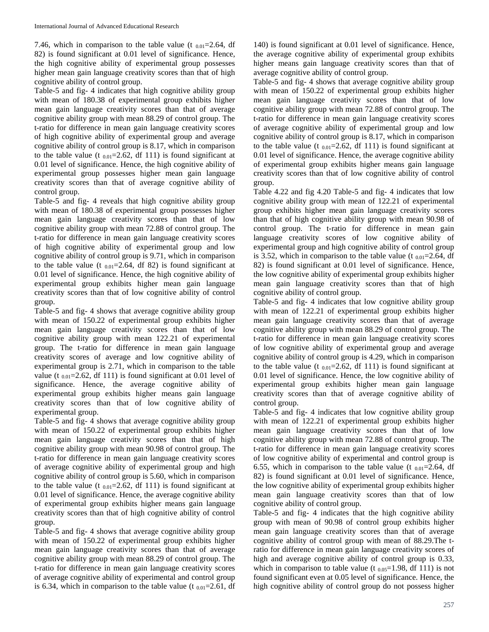7.46, which in comparison to the table value (t  $_{0.01}$ =2.64, df 82) is found significant at 0.01 level of significance. Hence, the high cognitive ability of experimental group possesses higher mean gain language creativity scores than that of high cognitive ability of control group.

Table-5 and fig- 4 indicates that high cognitive ability group with mean of 180.38 of experimental group exhibits higher mean gain language creativity scores than that of average cognitive ability group with mean 88.29 of control group. The t-ratio for difference in mean gain language creativity scores of high cognitive ability of experimental group and average cognitive ability of control group is 8.17, which in comparison to the table value (t  $_{0.01}$ =2.62, df 111) is found significant at 0.01 level of significance. Hence, the high cognitive ability of experimental group possesses higher mean gain language creativity scores than that of average cognitive ability of control group.

Table-5 and fig- 4 reveals that high cognitive ability group with mean of 180.38 of experimental group possesses higher mean gain language creativity scores than that of low cognitive ability group with mean 72.88 of control group. The t-ratio for difference in mean gain language creativity scores of high cognitive ability of experimental group and low cognitive ability of control group is 9.71, which in comparison to the table value (t  $_{0.01}$ =2.64, df 82) is found significant at 0.01 level of significance. Hence, the high cognitive ability of experimental group exhibits higher mean gain language creativity scores than that of low cognitive ability of control group.

Table-5 and fig- 4 shows that average cognitive ability group with mean of 150.22 of experimental group exhibits higher mean gain language creativity scores than that of low cognitive ability group with mean 122.21 of experimental group. The t-ratio for difference in mean gain language creativity scores of average and low cognitive ability of experimental group is 2.71, which in comparison to the table value (t  $_{0.01}$ =2.62, df 111) is found significant at 0.01 level of significance. Hence, the average cognitive ability of experimental group exhibits higher means gain language creativity scores than that of low cognitive ability of experimental group.

Table-5 and fig- 4 shows that average cognitive ability group with mean of 150.22 of experimental group exhibits higher mean gain language creativity scores than that of high cognitive ability group with mean 90.98 of control group. The t-ratio for difference in mean gain language creativity scores of average cognitive ability of experimental group and high cognitive ability of control group is 5.60, which in comparison to the table value (t  $_{0.01}$ =2.62, df 111) is found significant at 0.01 level of significance. Hence, the average cognitive ability of experimental group exhibits higher means gain language creativity scores than that of high cognitive ability of control group.

Table-5 and fig- 4 shows that average cognitive ability group with mean of 150.22 of experimental group exhibits higher mean gain language creativity scores than that of average cognitive ability group with mean 88.29 of control group. The t-ratio for difference in mean gain language creativity scores of average cognitive ability of experimental and control group is 6.34, which in comparison to the table value (t  $_{0.01}$ =2.61, df

140) is found significant at 0.01 level of significance. Hence, the average cognitive ability of experimental group exhibits higher means gain language creativity scores than that of average cognitive ability of control group.

Table-5 and fig- 4 shows that average cognitive ability group with mean of 150.22 of experimental group exhibits higher mean gain language creativity scores than that of low cognitive ability group with mean 72.88 of control group. The t-ratio for difference in mean gain language creativity scores of average cognitive ability of experimental group and low cognitive ability of control group is 8.17, which in comparison to the table value (t  $_{0.01}$ =2.62, df 111) is found significant at 0.01 level of significance. Hence, the average cognitive ability of experimental group exhibits higher means gain language creativity scores than that of low cognitive ability of control group.

Table 4.22 and fig 4.20 Table-5 and fig- 4 indicates that low cognitive ability group with mean of 122.21 of experimental group exhibits higher mean gain language creativity scores than that of high cognitive ability group with mean 90.98 of control group. The t-ratio for difference in mean gain language creativity scores of low cognitive ability of experimental group and high cognitive ability of control group is 3.52, which in comparison to the table value (t  $_{0.01}$ =2.64, df 82) is found significant at 0.01 level of significance. Hence, the low cognitive ability of experimental group exhibits higher mean gain language creativity scores than that of high cognitive ability of control group.

Table-5 and fig- 4 indicates that low cognitive ability group with mean of 122.21 of experimental group exhibits higher mean gain language creativity scores than that of average cognitive ability group with mean 88.29 of control group. The t-ratio for difference in mean gain language creativity scores of low cognitive ability of experimental group and average cognitive ability of control group is 4.29, which in comparison to the table value (t  $_{0.01}$ =2.62, df 111) is found significant at 0.01 level of significance. Hence, the low cognitive ability of experimental group exhibits higher mean gain language creativity scores than that of average cognitive ability of control group.

Table-5 and fig- 4 indicates that low cognitive ability group with mean of 122.21 of experimental group exhibits higher mean gain language creativity scores than that of low cognitive ability group with mean 72.88 of control group. The t-ratio for difference in mean gain language creativity scores of low cognitive ability of experimental and control group is 6.55, which in comparison to the table value (t  $_{0.01}$ =2.64, df 82) is found significant at 0.01 level of significance. Hence, the low cognitive ability of experimental group exhibits higher mean gain language creativity scores than that of low cognitive ability of control group.

Table-5 and fig- 4 indicates that the high cognitive ability group with mean of 90.98 of control group exhibits higher mean gain language creativity scores than that of average cognitive ability of control group with mean of 88.29.The tratio for difference in mean gain language creativity scores of high and average cognitive ability of control group is 0.33, which in comparison to table value (t  $_{0.05}$ =1.98, df 111) is not found significant even at 0.05 level of significance. Hence, the high cognitive ability of control group do not possess higher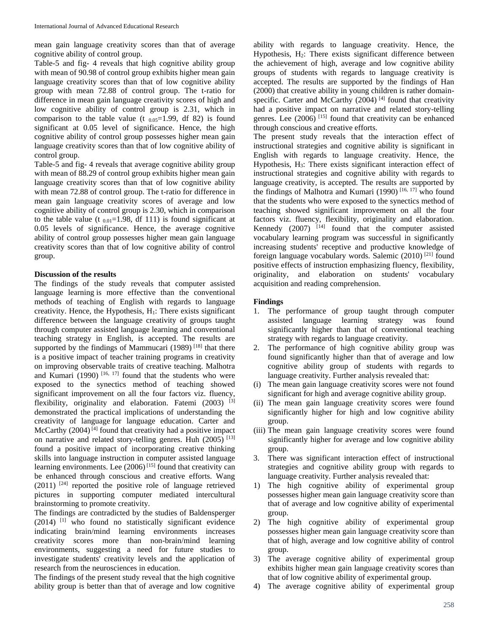mean gain language creativity scores than that of average cognitive ability of control group.

Table-5 and fig- 4 reveals that high cognitive ability group with mean of 90.98 of control group exhibits higher mean gain language creativity scores than that of low cognitive ability group with mean 72.88 of control group. The t-ratio for difference in mean gain language creativity scores of high and low cognitive ability of control group is 2.31, which in comparison to the table value (t  $_{0.05}=1.99$ , df 82) is found significant at 0.05 level of significance. Hence, the high cognitive ability of control group possesses higher mean gain language creativity scores than that of low cognitive ability of control group.

Table-5 and fig- 4 reveals that average cognitive ability group with mean of 88.29 of control group exhibits higher mean gain language creativity scores than that of low cognitive ability with mean 72.88 of control group. The t-ratio for difference in mean gain language creativity scores of average and low cognitive ability of control group is 2.30, which in comparison to the table value (t  $_{0.01}$ =1.98, df 111) is found significant at 0.05 levels of significance. Hence, the average cognitive ability of control group possesses higher mean gain language creativity scores than that of low cognitive ability of control group.

# **Discussion of the results**

The findings of the study reveals that computer assisted language learning is more effective than the conventional methods of teaching of English with regards to language creativity. Hence, the Hypothesis,  $H_1$ : There exists significant difference between the language creativity of groups taught through computer assisted language learning and conventional teaching strategy in English, is accepted. The results are supported by the findings of Mammucari  $(1989)$ <sup>[18]</sup> that there is a positive impact of teacher training programs in creativity on improving observable traits of creative teaching. Malhotra and Kumari (1990)<sup>[16, 17]</sup> found that the students who were exposed to the synectics method of teaching showed significant improvement on all the four factors viz. fluency, flexibility, originality and elaboration. Fatemi (2003) [3] demonstrated the practical implications of understanding the creativity of language for language education. Carter and McCarthy (2004)<sup>[4]</sup> found that creativity had a positive impact on narrative and related story-telling genres. Huh  $(2005)$ <sup>[13]</sup> found a positive impact of incorporating creative thinking skills into language instruction in computer assisted language learning environments. Lee  $(2006)^{[15]}$  found that creativity can be enhanced through conscious and creative efforts. Wang (2011)<sup>[24]</sup> reported the positive role of language retrieved pictures in supporting computer mediated intercultural brainstorming to promote creativity.

The findings are contradicted by the studies of Baldensperger  $(2014)$ <sup>[1]</sup> who found no statistically significant evidence indicating brain/mind learning environments increases creativity scores more than non-brain/mind learning environments, suggesting a need for future studies to investigate students' creativity levels and the application of research from the neurosciences in education.

The findings of the present study reveal that the high cognitive ability group is better than that of average and low cognitive

ability with regards to language creativity. Hence, the Hypothesis,  $H_2$ : There exists significant difference between the achievement of high, average and low cognitive ability groups of students with regards to language creativity is accepted. The results are supported by the findings of Han (2000) that creative ability in young children is rather domainspecific. Carter and McCarthy  $(2004)$ <sup>[4]</sup> found that creativity had a positive impact on narrative and related story-telling genres. Lee (2006)<sup>[15]</sup> found that creativity can be enhanced through conscious and creative efforts.

The present study reveals that the interaction effect of instructional strategies and cognitive ability is significant in English with regards to language creativity. Hence, the Hypothesis, H<sub>3</sub>: There exists significant interaction effect of instructional strategies and cognitive ability with regards to language creativity, is accepted. The results are supported by the findings of Malhotra and Kumari (1990)<sup>[16, 17]</sup> who found that the students who were exposed to the synectics method of teaching showed significant improvement on all the four factors viz. fluency, flexibility, originality and elaboration. Kennedy  $(2007)$  <sup>[14]</sup> found that the computer assisted vocabulary learning program was successful in significantly increasing students' receptive and productive knowledge of foreign language vocabulary words. Salemic (2010)<sup>[21]</sup> found positive effects of instruction emphasizing fluency, flexibility, originality, and elaboration on students' vocabulary acquisition and reading comprehension.

#### **Findings**

- 1. The performance of group taught through computer assisted language learning strategy was found significantly higher than that of conventional teaching strategy with regards to language creativity.
- 2. The performance of high cognitive ability group was found significantly higher than that of average and low cognitive ability group of students with regards to language creativity. Further analysis revealed that:
- (i) The mean gain language creativity scores were not found significant for high and average cognitive ability group.
- (ii) The mean gain language creativity scores were found significantly higher for high and low cognitive ability group.
- (iii) The mean gain language creativity scores were found significantly higher for average and low cognitive ability group.
- 3. There was significant interaction effect of instructional strategies and cognitive ability group with regards to language creativity. Further analysis revealed that:
- 1) The high cognitive ability of experimental group possesses higher mean gain language creativity score than that of average and low cognitive ability of experimental group.
- 2) The high cognitive ability of experimental group possesses higher mean gain language creativity score than that of high, average and low cognitive ability of control group.
- 3) The average cognitive ability of experimental group exhibits higher mean gain language creativity scores than that of low cognitive ability of experimental group.
- 4) The average cognitive ability of experimental group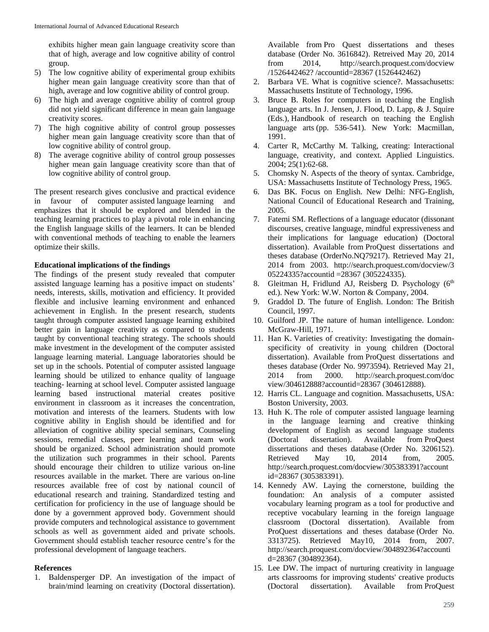exhibits higher mean gain language creativity score than that of high, average and low cognitive ability of control group.

- 5) The low cognitive ability of experimental group exhibits higher mean gain language creativity score than that of high, average and low cognitive ability of control group.
- 6) The high and average cognitive ability of control group did not yield significant difference in mean gain language creativity scores.
- 7) The high cognitive ability of control group possesses higher mean gain language creativity score than that of low cognitive ability of control group.
- 8) The average cognitive ability of control group possesses higher mean gain language creativity score than that of low cognitive ability of control group.

The present research gives conclusive and practical evidence in favour of computer assisted language learning and emphasizes that it should be explored and blended in the teaching learning practices to play a pivotal role in enhancing the English language skills of the learners. It can be blended with conventional methods of teaching to enable the learners optimize their skills.

# **Educational implications of the findings**

The findings of the present study revealed that computer assisted language learning has a positive impact on students' needs, interests, skills, motivation and efficiency. It provided flexible and inclusive learning environment and enhanced achievement in English. In the present research, students taught through computer assisted language learning exhibited better gain in language creativity as compared to students taught by conventional teaching strategy. The schools should make investment in the development of the computer assisted language learning material. Language laboratories should be set up in the schools. Potential of computer assisted language learning should be utilized to enhance quality of language teaching- learning at school level. Computer assisted language learning based instructional material creates positive environment in classroom as it increases the concentration, motivation and interests of the learners. Students with low cognitive ability in English should be identified and for alleviation of cognitive ability special seminars, Counseling sessions, remedial classes, peer learning and team work should be organized. School administration should promote the utilization such programmes in their school. Parents should encourage their children to utilize various on-line resources available in the market. There are various on-line resources available free of cost by national council of educational research and training. Standardized testing and certification for proficiency in the use of language should be done by a government approved body. Government should provide computers and technological assistance to government schools as well as government aided and private schools. Government should establish teacher resource centre's for the professional development of language teachers.

#### **References**

1. Baldensperger DP. An investigation of the impact of brain/mind learning on creativity (Doctoral dissertation).

Available from Pro Quest dissertations and theses database (Order No. 3616842). Retreived May 20, 2014 from 2014, http://search.proquest.com/docview /1526442462? /accountid=28367 (1526442462)

- 2. Barbara VE. What is cognitive science?. Massachusetts: Massachusetts Institute of Technology, 1996.
- 3. Bruce B. Roles for computers in teaching the English language arts. In J. Jensen, J. Flood, D. Lapp, & J. Squire (Eds.), Handbook of research on teaching the English language arts (pp. 536-541). New York: Macmillan, 1991.
- 4. Carter R, McCarthy M. Talking, creating: Interactional language, creativity, and context. Applied Linguistics. 2004; 25(1):62-68.
- 5. Chomsky N. Aspects of the theory of syntax. Cambridge, USA: Massachusetts Institute of Technology Press, 1965.
- 6. Das BK. Focus on English. New Delhi: NFG-English, National Council of Educational Research and Training, 2005.
- 7. Fatemi SM. Reflections of a language educator (dissonant discourses, creative language, mindful expressiveness and their implications for language education) (Doctoral dissertation). Available from ProQuest dissertations and theses database (OrderNo.NQ79217). Retrieved May 21, 2014 from 2003. http://search.proquest.com/docview/3 05224335?accountid =28367 (305224335).
- 8. Gleitman H, Fridlund AJ, Reisberg D. Psychology  $(6<sup>th</sup>$ ed.). New York: W.W. Norton & Company, 2004.
- 9. Graddol D. The future of English. London: The British Council, 1997.
- 10. Guilford JP. The nature of human intelligence. London: McGraw-Hill, 1971.
- 11. Han K. Varieties of creativity: Investigating the domainspecificity of creativity in young children (Doctoral dissertation). Available from ProQuest dissertations and theses database (Order No. 9973594). Retrieved May 21, 2014 from 2000. http://search.proquest.com/doc view/304612888?accountid=28367 (304612888).
- 12. Harris CL. Language and cognition. Massachusetts, USA: Boston University, 2003.
- 13. Huh K. The role of computer assisted language learning in the language learning and creative thinking development of English as second language students (Doctoral dissertation). Available from ProQuest dissertations and theses database (Order No. 3206152). Retrieved May 10, 2014 from, 2005. http://search.proquest.com/docview/305383391?account id=28367 (305383391).
- 14. Kennedy AW. Laying the cornerstone, building the foundation: An analysis of a computer assisted vocabulary learning program as a tool for productive and receptive vocabulary learning in the foreign language classroom (Doctoral dissertation). Available from ProQuest dissertations and theses database (Order No. 3313725). Retrieved May10, 2014 from, 2007. http://search.proquest.com/docview/304892364?accounti d=28367 (304892364).
- 15. Lee DW. The impact of nurturing creativity in language arts classrooms for improving students' creative products (Doctoral dissertation). Available from ProQuest